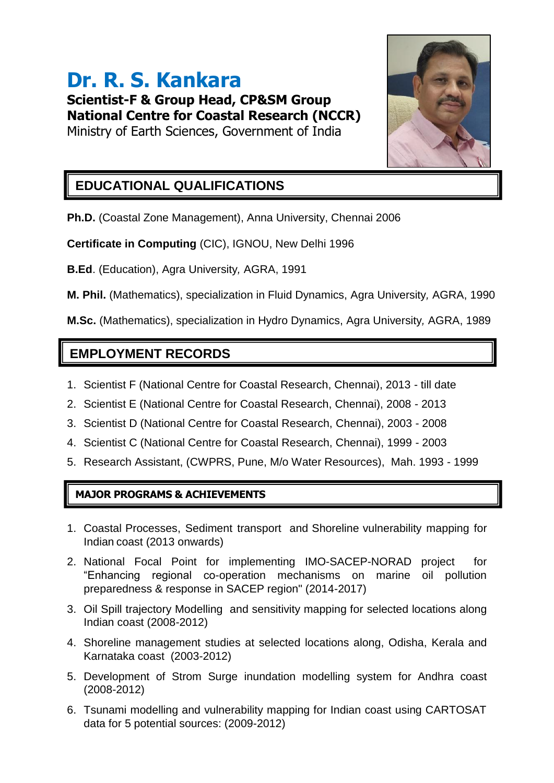# **Dr. R. S. Kankara**

**Scientist-F & Group Head, CP&SM Group National Centre for Coastal Research (NCCR)** Ministry of Earth Sciences, Government of India



# **EDUCATIONAL QUALIFICATIONS**

**Ph.D.** (Coastal Zone Management), Anna University, Chennai 2006

**Certificate in Computing** (CIC), IGNOU, New Delhi 1996

**B.Ed**. (Education), Agra University*,* AGRA, 1991

**M. Phil.** (Mathematics), specialization in Fluid Dynamics, Agra University*,* AGRA, 1990

**M.Sc.** (Mathematics), specialization in Hydro Dynamics, Agra University*,* AGRA, 1989

## **EMPLOYMENT RECORDS**

- 1. Scientist F (National Centre for Coastal Research, Chennai), 2013 till date
- 2. Scientist E (National Centre for Coastal Research, Chennai), 2008 2013
- 3. Scientist D (National Centre for Coastal Research, Chennai), 2003 2008
- 4. Scientist C (National Centre for Coastal Research, Chennai), 1999 2003
- 5. Research Assistant, (CWPRS, Pune, M/o Water Resources), Mah. 1993 1999

### **MAJOR PROGRAMS & ACHIEVEMENTS**

- 1. Coastal Processes, Sediment transport and Shoreline vulnerability mapping for Indian coast (2013 onwards)
- 2. National Focal Point for implementing IMO-SACEP-NORAD project for "Enhancing regional co-operation mechanisms on marine oil pollution preparedness & response in SACEP region" (2014-2017)
- 3. Oil Spill trajectory Modelling and sensitivity mapping for selected locations along Indian coast (2008-2012)
- 4. Shoreline management studies at selected locations along, Odisha, Kerala and Karnataka coast (2003-2012)
- 5. Development of Strom Surge inundation modelling system for Andhra coast (2008-2012)
- 6. Tsunami modelling and vulnerability mapping for Indian coast using CARTOSAT data for 5 potential sources: (2009-2012)